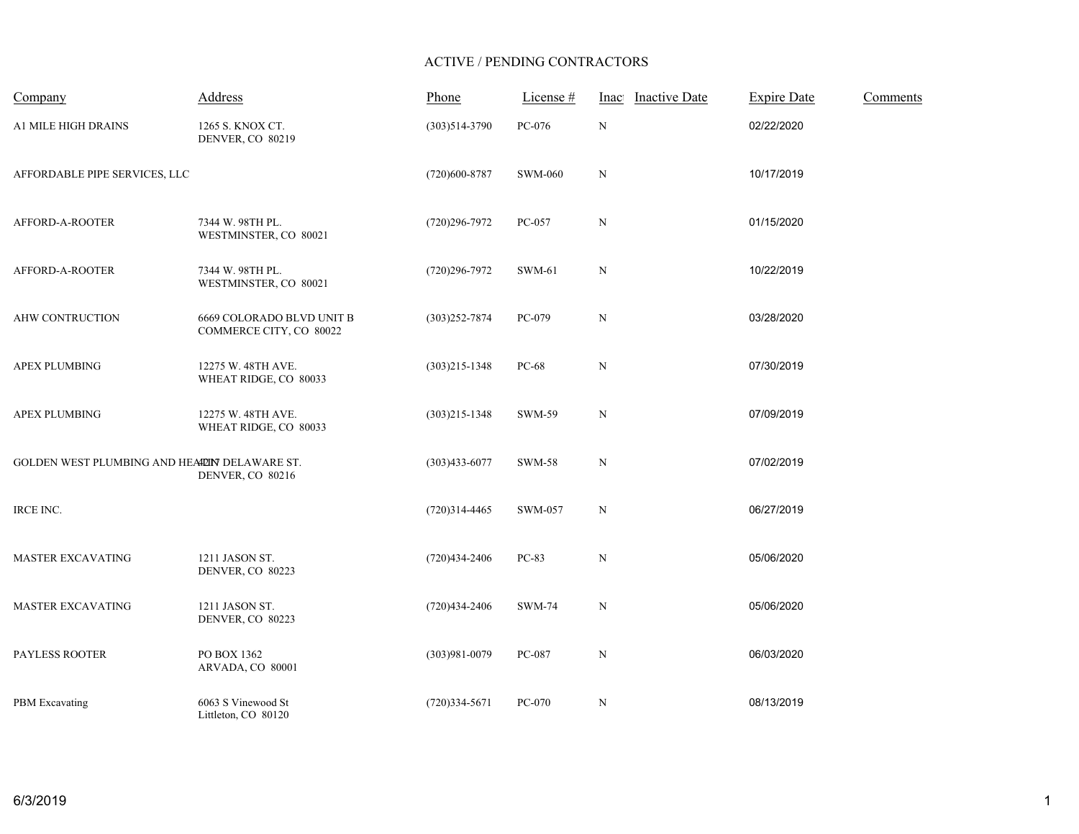## ACTIVE / PENDING CONTRACTORS

| Company                                       | Address                                              | Phone             | License #      | <b>Inactive Date</b><br>Inac | <b>Expire Date</b> | Comments |
|-----------------------------------------------|------------------------------------------------------|-------------------|----------------|------------------------------|--------------------|----------|
| <b>A1 MILE HIGH DRAINS</b>                    | 1265 S. KNOX CT.<br><b>DENVER, CO 80219</b>          | $(303)514-3790$   | PC-076         | $\, {\rm N}$                 | 02/22/2020         |          |
| AFFORDABLE PIPE SERVICES, LLC                 |                                                      | $(720)600 - 8787$ | <b>SWM-060</b> | N                            | 10/17/2019         |          |
| AFFORD-A-ROOTER                               | 7344 W. 98TH PL.<br>WESTMINSTER, CO 80021            | $(720)296 - 7972$ | PC-057         | $\, {\rm N}$                 | 01/15/2020         |          |
| AFFORD-A-ROOTER                               | 7344 W. 98TH PL.<br>WESTMINSTER, CO 80021            | $(720)296 - 7972$ | <b>SWM-61</b>  | $\, {\rm N}$                 | 10/22/2019         |          |
| AHW CONTRUCTION                               | 6669 COLORADO BLVD UNIT B<br>COMMERCE CITY, CO 80022 | $(303)252 - 7874$ | PC-079         | N                            | 03/28/2020         |          |
| <b>APEX PLUMBING</b>                          | 12275 W. 48TH AVE.<br>WHEAT RIDGE, CO 80033          | $(303)215 - 1348$ | PC-68          | $\mathbf N$                  | 07/30/2019         |          |
| APEX PLUMBING                                 | 12275 W. 48TH AVE.<br>WHEAT RIDGE, CO 80033          | $(303)215 - 1348$ | SWM-59         | $\, {\rm N}$                 | 07/09/2019         |          |
| GOLDEN WEST PLUMBING AND HEALLIN DELAWARE ST. | DENVER, CO 80216                                     | $(303)433 - 6077$ | <b>SWM-58</b>  | $\mathbf N$                  | 07/02/2019         |          |
| IRCE INC.                                     |                                                      | $(720)314-4465$   | SWM-057        | $\, {\rm N}$                 | 06/27/2019         |          |
| <b>MASTER EXCAVATING</b>                      | 1211 JASON ST.<br>DENVER, CO 80223                   | $(720)434 - 2406$ | PC-83          | $\mathbf N$                  | 05/06/2020         |          |
| MASTER EXCAVATING                             | 1211 JASON ST.<br>DENVER, CO 80223                   | $(720)434-2406$   | <b>SWM-74</b>  | $\mathbf N$                  | 05/06/2020         |          |
| <b>PAYLESS ROOTER</b>                         | PO BOX 1362<br>ARVADA, CO 80001                      | $(303)981 - 0079$ | PC-087         | $\mathbf N$                  | 06/03/2020         |          |
| PBM Excavating                                | 6063 S Vinewood St<br>Littleton, CO 80120            | $(720)334 - 5671$ | PC-070         | $\, {\rm N}$                 | 08/13/2019         |          |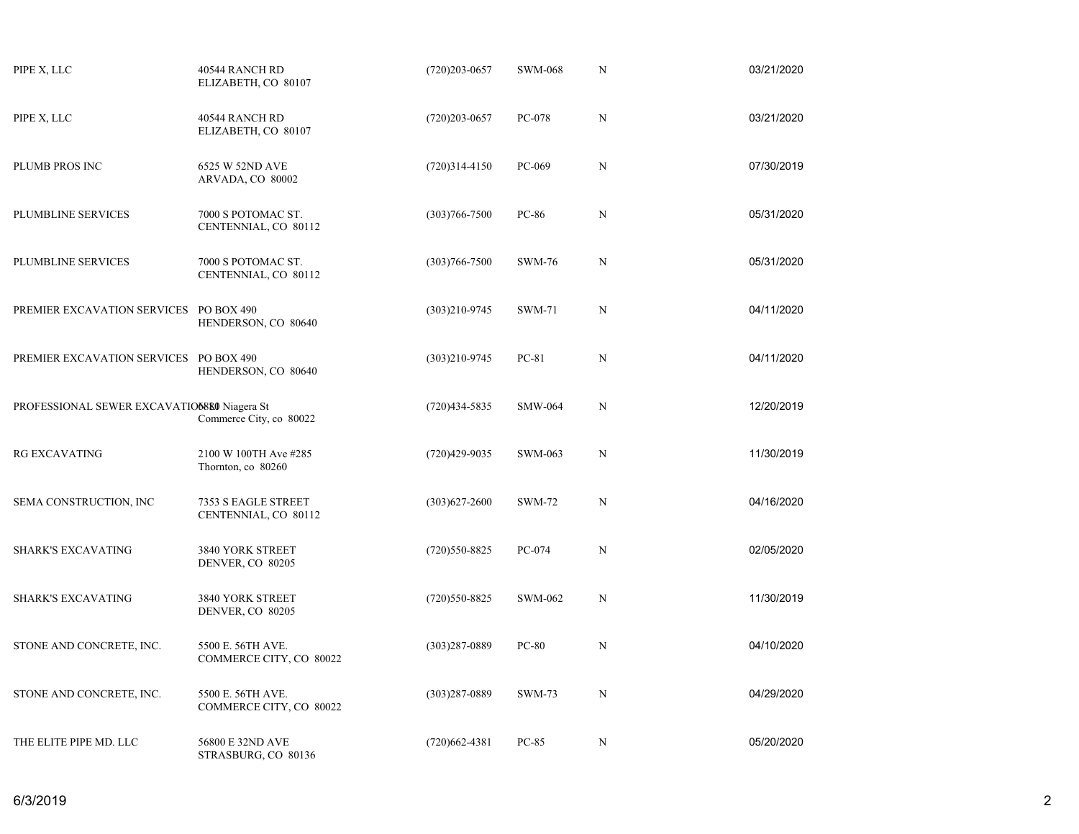| PIPE X, LLC                                 | 40544 RANCH RD<br>ELIZABETH, CO 80107        | $(720)203 - 0657$ | <b>SWM-068</b> | N           | 03/21/2020 |
|---------------------------------------------|----------------------------------------------|-------------------|----------------|-------------|------------|
| PIPE X, LLC                                 | 40544 RANCH RD<br>ELIZABETH, CO 80107        | $(720)203 - 0657$ | PC-078         | $\mathbf N$ | 03/21/2020 |
| PLUMB PROS INC                              | 6525 W 52ND AVE<br>ARVADA, CO 80002          | $(720)314-4150$   | PC-069         | N           | 07/30/2019 |
| PLUMBLINE SERVICES                          | 7000 S POTOMAC ST.<br>CENTENNIAL, CO 80112   | $(303)766 - 7500$ | PC-86          | $\mathbf N$ | 05/31/2020 |
| PLUMBLINE SERVICES                          | 7000 S POTOMAC ST.<br>CENTENNIAL, CO 80112   | $(303)766 - 7500$ | <b>SWM-76</b>  | N           | 05/31/2020 |
| PREMIER EXCAVATION SERVICES PO BOX 490      | HENDERSON, CO 80640                          | $(303)210 - 9745$ | <b>SWM-71</b>  | $\mathbf N$ | 04/11/2020 |
| PREMIER EXCAVATION SERVICES                 | PO BOX 490<br>HENDERSON, CO 80640            | $(303)210 - 9745$ | PC-81          | N           | 04/11/2020 |
| PROFESSIONAL SEWER EXCAVATIO6880 Niagera St | Commerce City, co 80022                      | $(720)434 - 5835$ | <b>SMW-064</b> | $\mathbf N$ | 12/20/2019 |
| <b>RG EXCAVATING</b>                        | 2100 W 100TH Ave #285<br>Thornton, co 80260  | $(720)429-9035$   | SWM-063        | N           | 11/30/2019 |
| SEMA CONSTRUCTION, INC                      | 7353 S EAGLE STREET<br>CENTENNIAL, CO 80112  | $(303)627 - 2600$ | <b>SWM-72</b>  | $\mathbf N$ | 04/16/2020 |
| <b>SHARK'S EXCAVATING</b>                   | 3840 YORK STREET<br>DENVER, CO 80205         | $(720)550-8825$   | PC-074         | N           | 02/05/2020 |
| <b>SHARK'S EXCAVATING</b>                   | 3840 YORK STREET<br>DENVER, CO 80205         | $(720)550-8825$   | SWM-062        | N           | 11/30/2019 |
| STONE AND CONCRETE, INC.                    | 5500 E. 56TH AVE.<br>COMMERCE CITY, CO 80022 | $(303)287 - 0889$ | <b>PC-80</b>   | N           | 04/10/2020 |
| STONE AND CONCRETE, INC.                    | 5500 E. 56TH AVE.<br>COMMERCE CITY, CO 80022 | $(303)287 - 0889$ | <b>SWM-73</b>  | $\mathbf N$ | 04/29/2020 |
| THE ELITE PIPE MD. LLC                      | 56800 E 32ND AVE<br>STRASBURG, CO 80136      | $(720)662 - 4381$ | $PC-85$        | N           | 05/20/2020 |